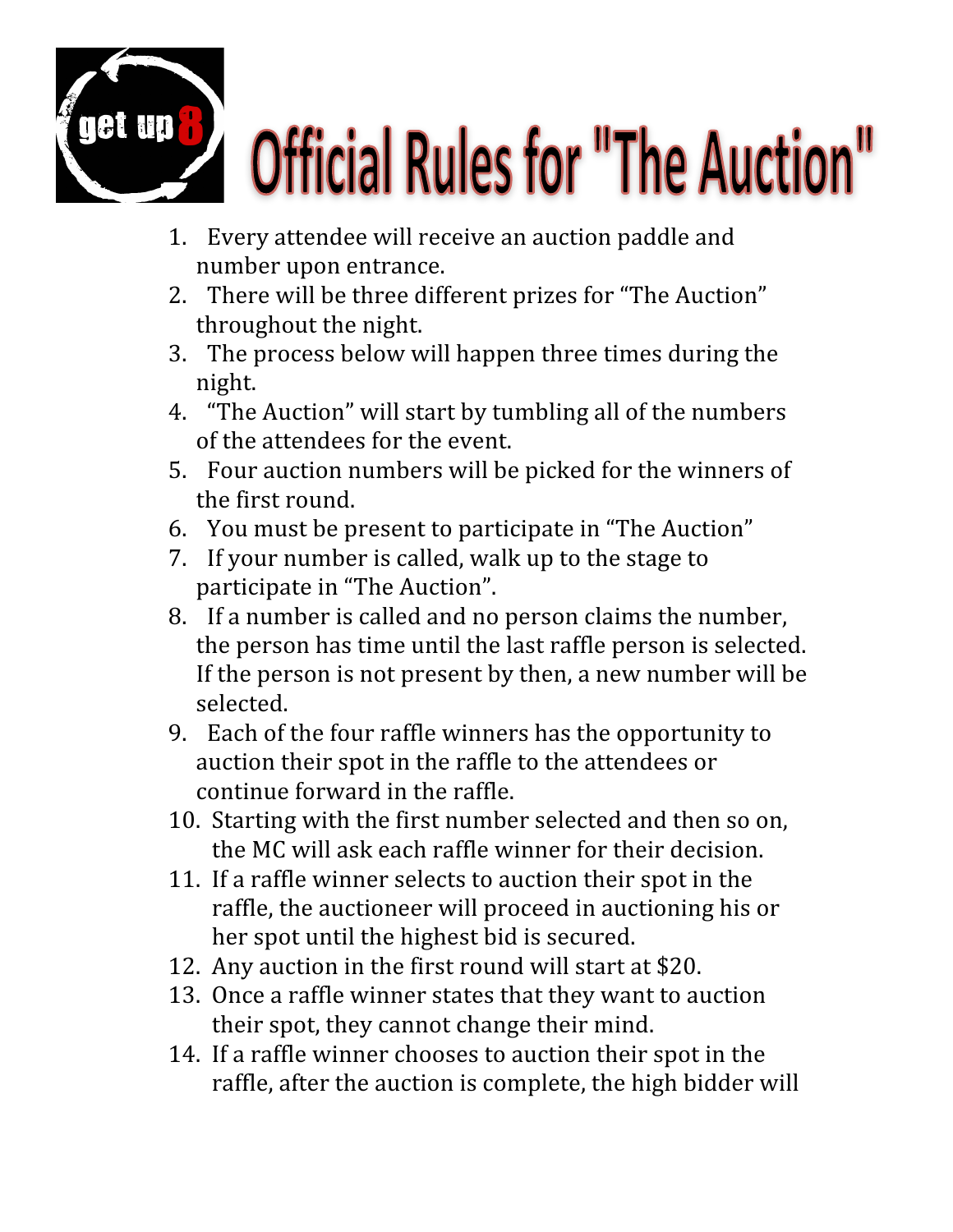

## **Official Rules for "The Auction"**

- 1. Every attendee will receive an auction paddle and number upon entrance.
- 2. There will be three different prizes for "The Auction" throughout the night.
- 3. The process below will happen three times during the night.
- 4. "The Auction" will start by tumbling all of the numbers of the attendees for the event.
- 5. Four auction numbers will be picked for the winners of the first round.
- 6. You must be present to participate in "The Auction"
- 7. If your number is called, walk up to the stage to participate in "The Auction".
- 8. If a number is called and no person claims the number, the person has time until the last raffle person is selected. If the person is not present by then, a new number will be selected.
- 9. Each of the four raffle winners has the opportunity to auction their spot in the raffle to the attendees or continue forward in the raffle.
- 10. Starting with the first number selected and then so on, the MC will ask each raffle winner for their decision.
- 11. If a raffle winner selects to auction their spot in the raffle, the auctioneer will proceed in auctioning his or her spot until the highest bid is secured.
- 12. Any auction in the first round will start at \$20.
- 13. Once a raffle winner states that they want to auction their spot, they cannot change their mind.
- 14. If a raffle winner chooses to auction their spot in the raffle, after the auction is complete, the high bidder will